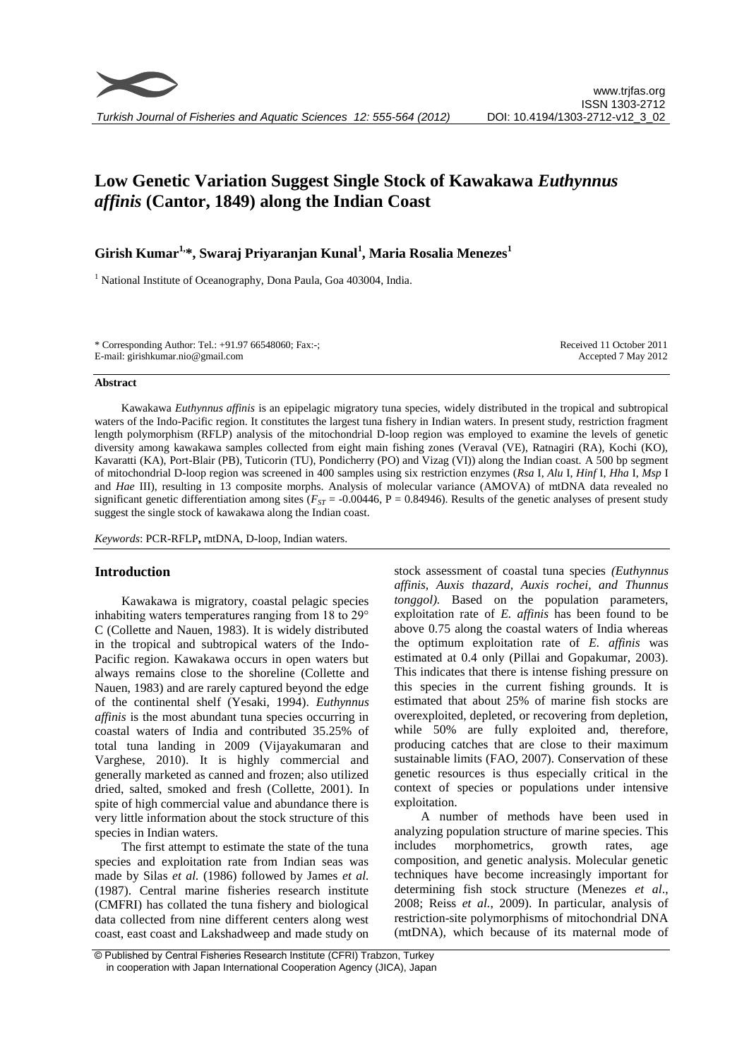# **Low Genetic Variation Suggest Single Stock of Kawakawa** *Euthynnus affinis* **(Cantor, 1849) along the Indian Coast**

# **Girish Kumar1,\*, Swaraj Priyaranjan Kunal<sup>1</sup> , Maria Rosalia Menezes<sup>1</sup>**

<sup>1</sup> National Institute of Oceanography, Dona Paula, Goa 403004, India.

\* Corresponding Author: Tel.: +91.97 66548060; Fax:-; E-mail: girishkumar.nio@gmail.com

Received 11 October 2011 Accepted 7 May 2012

#### **Abstract**

Kawakawa *Euthynnus affinis* is an epipelagic migratory tuna species, widely distributed in the tropical and subtropical waters of the Indo-Pacific region. It constitutes the largest tuna fishery in Indian waters. In present study, restriction fragment length polymorphism (RFLP) analysis of the mitochondrial D-loop region was employed to examine the levels of genetic diversity among kawakawa samples collected from eight main fishing zones (Veraval (VE), Ratnagiri (RA), Kochi (KO), Kavaratti (KA), Port-Blair (PB), Tuticorin (TU), Pondicherry (PO) and Vizag (VI)) along the Indian coast. A 500 bp segment of mitochondrial D-loop region was screened in 400 samples using six restriction enzymes (*Rsa* I, *Alu* I, *Hinf* I, *Hha* I, *Msp* I and *Hae* III), resulting in 13 composite morphs. Analysis of molecular variance (AMOVA) of mtDNA data revealed no significant genetic differentiation among sites ( $F_{ST}$  = -0.00446, P = 0.84946). Results of the genetic analyses of present study suggest the single stock of kawakawa along the Indian coast.

*Keywords*: PCR-RFLP**,** mtDNA, D-loop, Indian waters.

# **Introduction**

Kawakawa is migratory, coastal pelagic species inhabiting waters temperatures ranging from 18 to 29° C (Collette and Nauen, 1983). It is widely distributed in the tropical and subtropical waters of the Indo-Pacific region. Kawakawa occurs in open waters but always remains close to the shoreline (Collette and Nauen, 1983) and are rarely captured beyond the edge of the continental shelf (Yesaki, 1994). *Euthynnus affinis* is the most abundant tuna species occurring in coastal waters of India and contributed 35.25% of total tuna landing in 2009 (Vijayakumaran and Varghese, 2010). It is highly commercial and generally marketed as canned and frozen; also utilized dried, salted, smoked and fresh (Collette, 2001). In spite of high commercial value and abundance there is very little information about the stock structure of this species in Indian waters.

The first attempt to estimate the state of the tuna species and exploitation rate from Indian seas was made by Silas *et al.* (1986) followed by James *et al.* (1987). Central marine fisheries research institute (CMFRI) has collated the tuna fishery and biological data collected from nine different centers along west coast, east coast and Lakshadweep and made study on

stock assessment of coastal tuna species *(Euthynnus affinis, Auxis thazard, Auxis rochei, and Thunnus tonggol).* Based on the population parameters, exploitation rate of *E. affinis* has been found to be above 0.75 along the coastal waters of India whereas the optimum exploitation rate of *E. affinis* was estimated at 0.4 only (Pillai and Gopakumar, 2003). This indicates that there is intense fishing pressure on this species in the current fishing grounds. It is estimated that about 25% of marine fish stocks are overexploited, depleted, or recovering from depletion, while 50% are fully exploited and, therefore, producing catches that are close to their maximum sustainable limits (FAO, 2007). Conservation of these genetic resources is thus especially critical in the context of species or populations under intensive exploitation.

A number of methods have been used in analyzing population structure of marine species. This includes morphometrics, growth rates, age composition, and genetic analysis. Molecular genetic techniques have become increasingly important for determining fish stock structure (Menezes *et al*., 2008; Reiss *et al.*, 2009). In particular, analysis of restriction-site polymorphisms of mitochondrial DNA (mtDNA), which because of its maternal mode of

<sup>©</sup> Published by Central Fisheries Research Institute (CFRI) Trabzon, Turkey in cooperation with Japan International Cooperation Agency (JICA), Japan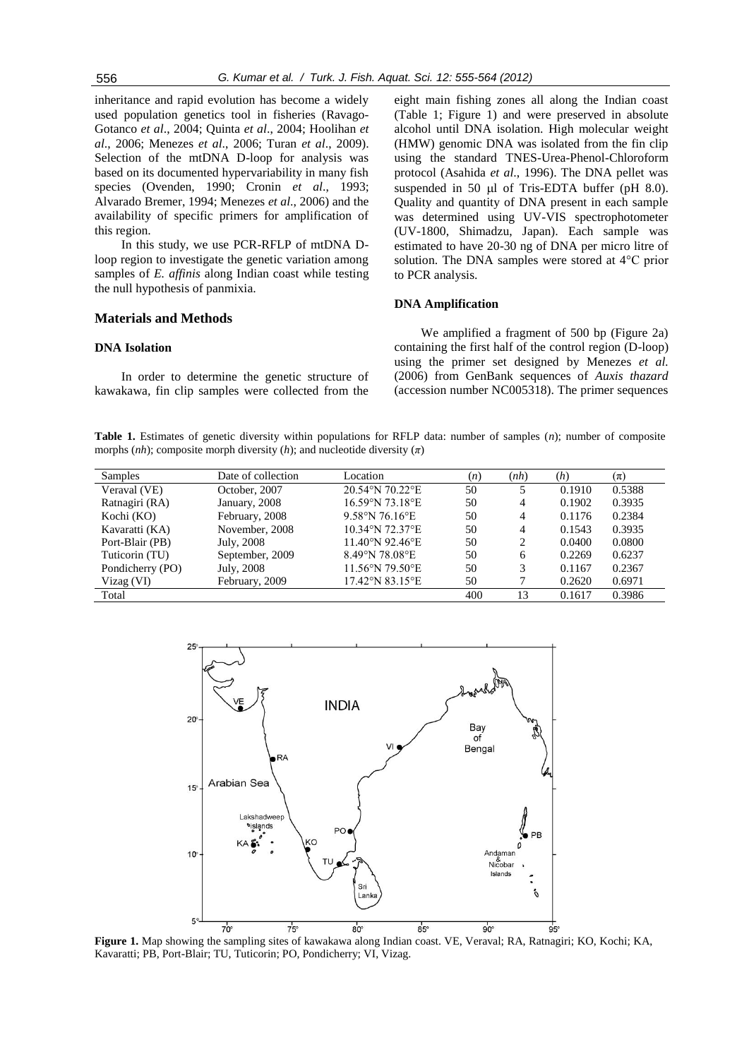inheritance and rapid evolution has become a widely used population genetics tool in fisheries (Ravago-Gotanco *et al*., 2004; Quinta *et al*., 2004; Hoolihan *et al*., 2006; Menezes *et al*., 2006; Turan *et al*., 2009). Selection of the mtDNA D-loop for analysis was based on its documented hypervariability in many fish species (Ovenden, 1990; Cronin *et al*., 1993; Alvarado Bremer, 1994; Menezes *et al*., 2006) and the availability of specific primers for amplification of this region.

In this study, we use PCR-RFLP of mtDNA Dloop region to investigate the genetic variation among samples of *E. affinis* along Indian coast while testing the null hypothesis of panmixia.

## **Materials and Methods**

#### **DNA Isolation**

In order to determine the genetic structure of kawakawa*,* fin clip samples were collected from the eight main fishing zones all along the Indian coast (Table 1; Figure 1) and were preserved in absolute alcohol until DNA isolation. High molecular weight (HMW) genomic DNA was isolated from the fin clip using the standard TNES-Urea-Phenol-Chloroform protocol (Asahida *et al*., 1996). The DNA pellet was suspended in 50  $\mu$ l of Tris-EDTA buffer (pH 8.0). Quality and quantity of DNA present in each sample was determined using UV-VIS spectrophotometer (UV-1800, Shimadzu, Japan). Each sample was estimated to have 20-30 ng of DNA per micro litre of solution. The DNA samples were stored at 4°C prior to PCR analysis.

#### **DNA Amplification**

We amplified a fragment of 500 bp (Figure 2a) containing the first half of the control region (D-loop) using the primer set designed by Menezes *et al.* (2006) from GenBank sequences of *Auxis thazard* (accession number NC005318). The primer sequences

**Table 1.** Estimates of genetic diversity within populations for RFLP data: number of samples (*n*); number of composite morphs (*nh*); composite morph diversity (*h*); and nucleotide diversity (*π*)

| <b>Samples</b>   | Date of collection | Location        | (n) | (nh)           | (h)    | $(\pi)$ |
|------------------|--------------------|-----------------|-----|----------------|--------|---------|
| Veraval (VE)     | October, 2007      | 20.54°N 70.22°E | 50  | 5              | 0.1910 | 0.5388  |
| Ratnagiri (RA)   | January, 2008      | 16.59°N 73.18°E | 50  | $\overline{4}$ | 0.1902 | 0.3935  |
| Kochi (KO)       | February, 2008     | 9.58°N 76.16°E  | 50  | 4              | 0.1176 | 0.2384  |
| Kavaratti (KA)   | November, 2008     | 10.34°N 72.37°E | 50  | 4              | 0.1543 | 0.3935  |
| Port-Blair (PB)  | July, 2008         | 11.40°N 92.46°E | 50  | 2              | 0.0400 | 0.0800  |
| Tuticorin (TU)   | September, 2009    | 8.49°N 78.08°E  | 50  | 6              | 0.2269 | 0.6237  |
| Pondicherry (PO) | July, 2008         | 11.56°N 79.50°E | 50  | 3              | 0.1167 | 0.2367  |
| Vizag (VI)       | February, 2009     | 17.42°N 83.15°E | 50  |                | 0.2620 | 0.6971  |
| Total            |                    |                 | 400 | 13             | 0.1617 | 0.3986  |



**Figure 1.** Map showing the sampling sites of kawakawa along Indian coast. VE, Veraval; RA, Ratnagiri; KO, Kochi; KA, Kavaratti; PB, Port-Blair; TU, Tuticorin; PO, Pondicherry; VI, Vizag.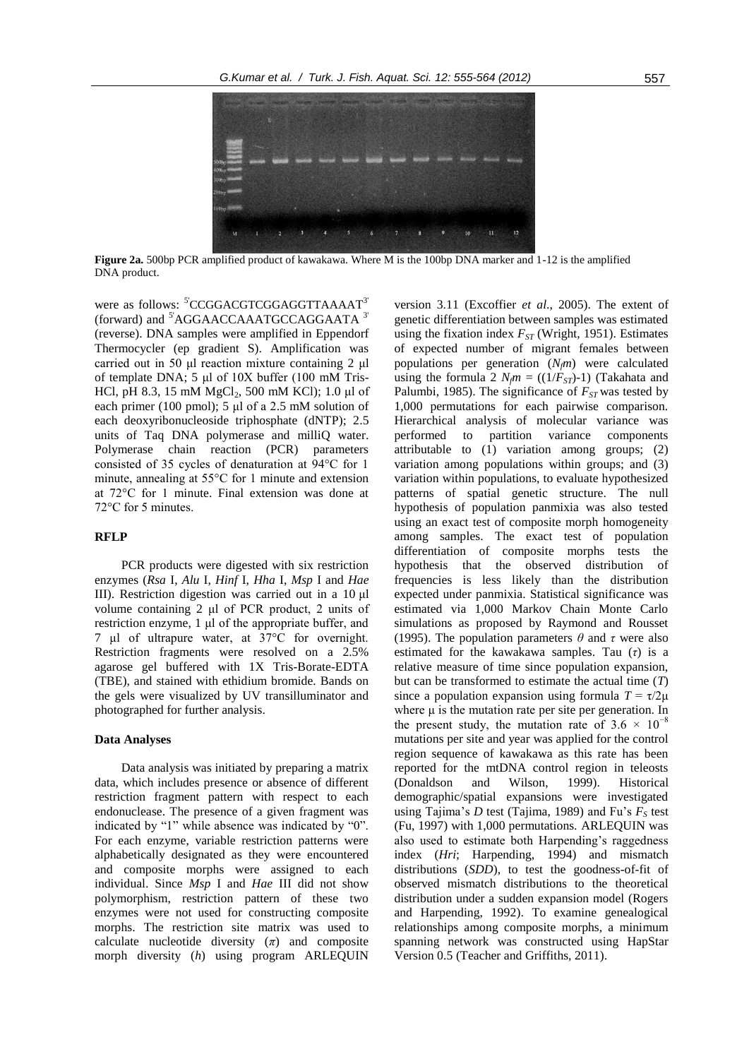

**Figure 2a.** 500bp PCR amplified product of kawakawa. Where M is the 100bp DNA marker and 1-12 is the amplified DNA product.

were as follows: <sup>5'</sup>CCGGACGTCGGAGGTTAAAAT<sup>3'</sup> (forward) and <sup>5'</sup>AGGAACCAAATGCCAGGAATA<sup>3'</sup> (reverse). DNA samples were amplified in Eppendorf Thermocycler (ep gradient S). Amplification was carried out in 50 μl reaction mixture containing 2 μl of template DNA; 5 μl of 10X buffer (100 mM Tris-HCl, pH 8.3, 15 mM  $MgCl_2$ , 500 mM KCl); 1.0 µl of each primer (100 pmol); 5 μl of a 2.5 mM solution of each deoxyribonucleoside triphosphate (dNTP); 2.5 units of Taq DNA polymerase and milliQ water. Polymerase chain reaction (PCR) parameters consisted of 35 cycles of denaturation at 94°C for 1 minute, annealing at 55°C for 1 minute and extension at 72°C for 1 minute. Final extension was done at 72°C for 5 minutes.

#### **RFLP**

PCR products were digested with six restriction enzymes (*Rsa* I, *Alu* I, *Hinf* I, *Hha* I, *Msp* I and *Hae* III). Restriction digestion was carried out in a 10 μl volume containing 2 μl of PCR product, 2 units of restriction enzyme, 1 μl of the appropriate buffer, and 7 μl of ultrapure water, at 37°C for overnight. Restriction fragments were resolved on a 2.5% agarose gel buffered with 1X Tris-Borate-EDTA (TBE), and stained with ethidium bromide. Bands on the gels were visualized by UV transilluminator and photographed for further analysis.

# **Data Analyses**

Data analysis was initiated by preparing a matrix data, which includes presence or absence of different restriction fragment pattern with respect to each endonuclease. The presence of a given fragment was indicated by "1" while absence was indicated by "0". For each enzyme, variable restriction patterns were alphabetically designated as they were encountered and composite morphs were assigned to each individual. Since *Msp* I and *Hae* III did not show polymorphism, restriction pattern of these two enzymes were not used for constructing composite morphs. The restriction site matrix was used to calculate nucleotide diversity  $(\pi)$  and composite morph diversity (*h*) using program ARLEQUIN

version 3.11 (Excoffier *et al*., 2005). The extent of genetic differentiation between samples was estimated using the fixation index *FST* (Wright, 1951). Estimates of expected number of migrant females between populations per generation (*Nfm*) were calculated using the formula 2  $N_{\ell}m = ((1/\tilde{F}_{ST})-1)$  (Takahata and Palumbi, 1985). The significance of  $F_{ST}$  was tested by 1,000 permutations for each pairwise comparison. Hierarchical analysis of molecular variance was performed to partition variance components attributable to (1) variation among groups; (2) variation among populations within groups; and (3) variation within populations, to evaluate hypothesized patterns of spatial genetic structure. The null hypothesis of population panmixia was also tested using an exact test of composite morph homogeneity among samples. The exact test of population differentiation of composite morphs tests the hypothesis that the observed distribution of frequencies is less likely than the distribution expected under panmixia. Statistical significance was estimated via 1,000 Markov Chain Monte Carlo simulations as proposed by Raymond and Rousset (1995). The population parameters *θ* and *τ* were also estimated for the kawakawa samples. Tau (*τ*) is a relative measure of time since population expansion, but can be transformed to estimate the actual time (*T*) since a population expansion using formula  $T = \tau/2\mu$ where  $\mu$  is the mutation rate per site per generation. In the present study, the mutation rate of  $3.6 \times 10^{-8}$ mutations per site and year was applied for the control region sequence of kawakawa as this rate has been reported for the mtDNA control region in teleosts (Donaldson and Wilson, 1999). Historical demographic/spatial expansions were investigated using Tajima's *D* test (Tajima, 1989) and Fu's  $F_s$  test (Fu, 1997) with 1,000 permutations. ARLEQUIN was also used to estimate both Harpending's raggedness index (*Hri*; Harpending, 1994) and mismatch distributions (*SDD*), to test the goodness-of-fit of observed mismatch distributions to the theoretical distribution under a sudden expansion model (Rogers and Harpending, 1992). To examine genealogical relationships among composite morphs, a minimum spanning network was constructed using HapStar

Version 0.5 (Teacher and Griffiths, 2011).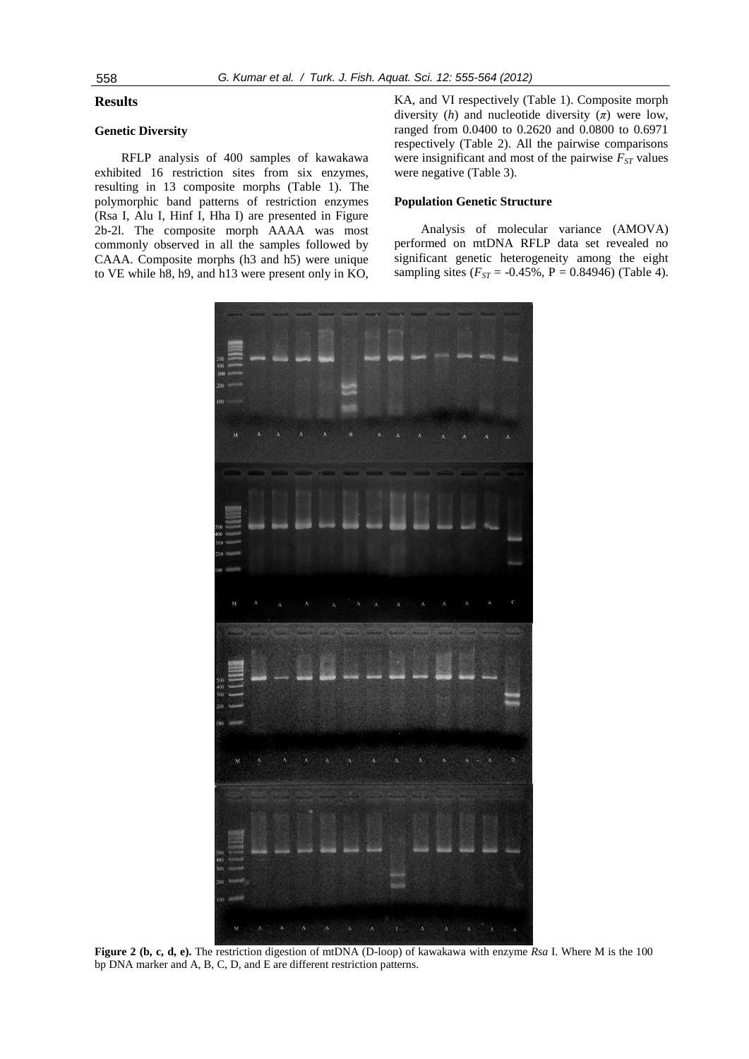## **Results**

# **Genetic Diversity**

RFLP analysis of 400 samples of kawakawa exhibited 16 restriction sites from six enzymes, resulting in 13 composite morphs (Table 1). The polymorphic band patterns of restriction enzymes (Rsa I, Alu I, Hinf I, Hha I) are presented in Figure 2b-2l. The composite morph AAAA was most commonly observed in all the samples followed by CAAA. Composite morphs (h3 and h5) were unique to VE while h8, h9, and h13 were present only in KO, KA, and VI respectively (Table 1). Composite morph diversity  $(h)$  and nucleotide diversity  $(\pi)$  were low, ranged from 0.0400 to 0.2620 and 0.0800 to 0.6971 respectively (Table 2). All the pairwise comparisons were insignificant and most of the pairwise  $F_{ST}$  values were negative (Table 3).

# **Population Genetic Structure**

Analysis of molecular variance (AMOVA) performed on mtDNA RFLP data set revealed no significant genetic heterogeneity among the eight sampling sites  $(F_{ST} = -0.45\%, P = 0.84946)$  (Table 4).



**Figure 2 (b, c, d, e).** The restriction digestion of mtDNA (D-loop) of kawakawa with enzyme *Rsa* I. Where M is the 100 bp DNA marker and A, B, C, D, and E are different restriction patterns.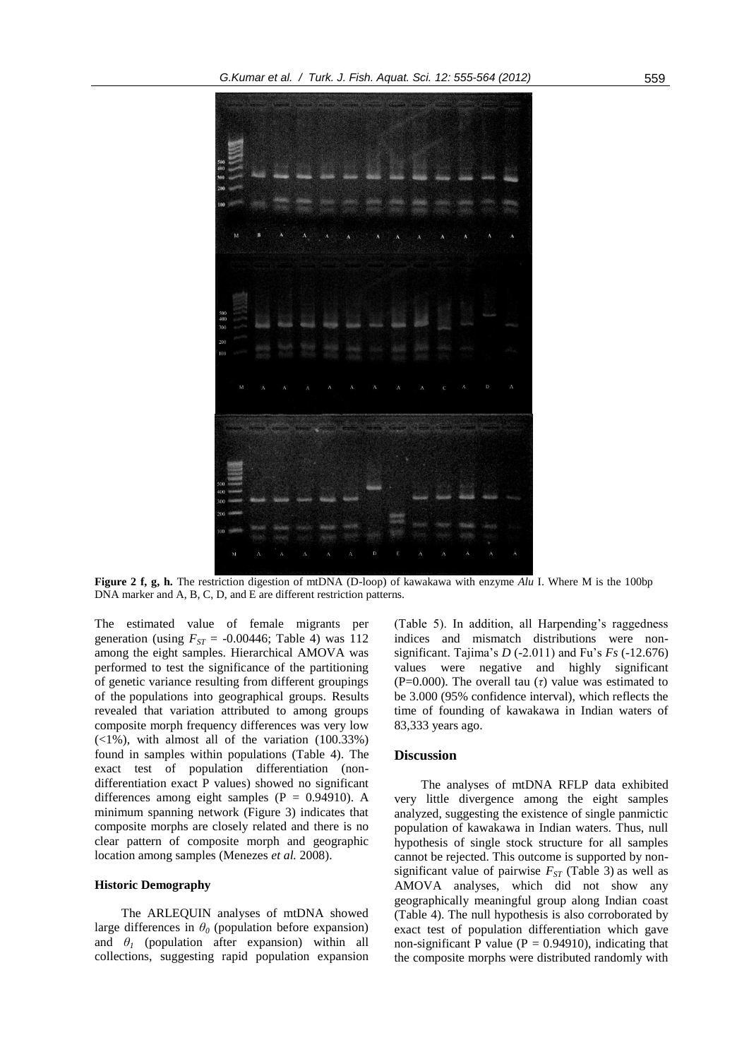

**Figure 2 f, g, h.** The restriction digestion of mtDNA (D-loop) of kawakawa with enzyme *Alu* I. Where M is the 100bp DNA marker and A, B, C, D, and E are different restriction patterns.

The estimated value of female migrants per generation (using  $F_{ST}$  = -0.00446; Table 4) was 112 among the eight samples. Hierarchical AMOVA was performed to test the significance of the partitioning of genetic variance resulting from different groupings of the populations into geographical groups. Results revealed that variation attributed to among groups composite morph frequency differences was very low  $(\langle 1\%),$  with almost all of the variation  $(100.33\%)$ found in samples within populations (Table 4). The exact test of population differentiation (nondifferentiation exact P values) showed no significant differences among eight samples  $(P = 0.94910)$ . A minimum spanning network (Figure 3) indicates that composite morphs are closely related and there is no clear pattern of composite morph and geographic location among samples (Menezes *et al.* 2008).

#### **Historic Demography**

The ARLEQUIN analyses of mtDNA showed large differences in  $\theta$ <sup>0</sup> (population before expansion) and  $\theta$ <sup>*I*</sup> (population after expansion) within all collections, suggesting rapid population expansion

(Table 5). In addition, all Harpending's raggedness indices and mismatch distributions were nonsignificant. Tajima's *D* (-2.011) and Fu's *Fs* (-12.676) values were negative and highly significant (P=0.000). The overall tau  $(τ)$  value was estimated to be 3.000 (95% confidence interval), which reflects the time of founding of kawakawa in Indian waters of 83,333 years ago.

# **Discussion**

The analyses of mtDNA RFLP data exhibited very little divergence among the eight samples analyzed, suggesting the existence of single panmictic population of kawakawa in Indian waters. Thus, null hypothesis of single stock structure for all samples cannot be rejected. This outcome is supported by nonsignificant value of pairwise  $F_{ST}$  (Table 3) as well as AMOVA analyses, which did not show any geographically meaningful group along Indian coast (Table 4). The null hypothesis is also corroborated by exact test of population differentiation which gave non-significant P value ( $P = 0.94910$ ), indicating that the composite morphs were distributed randomly with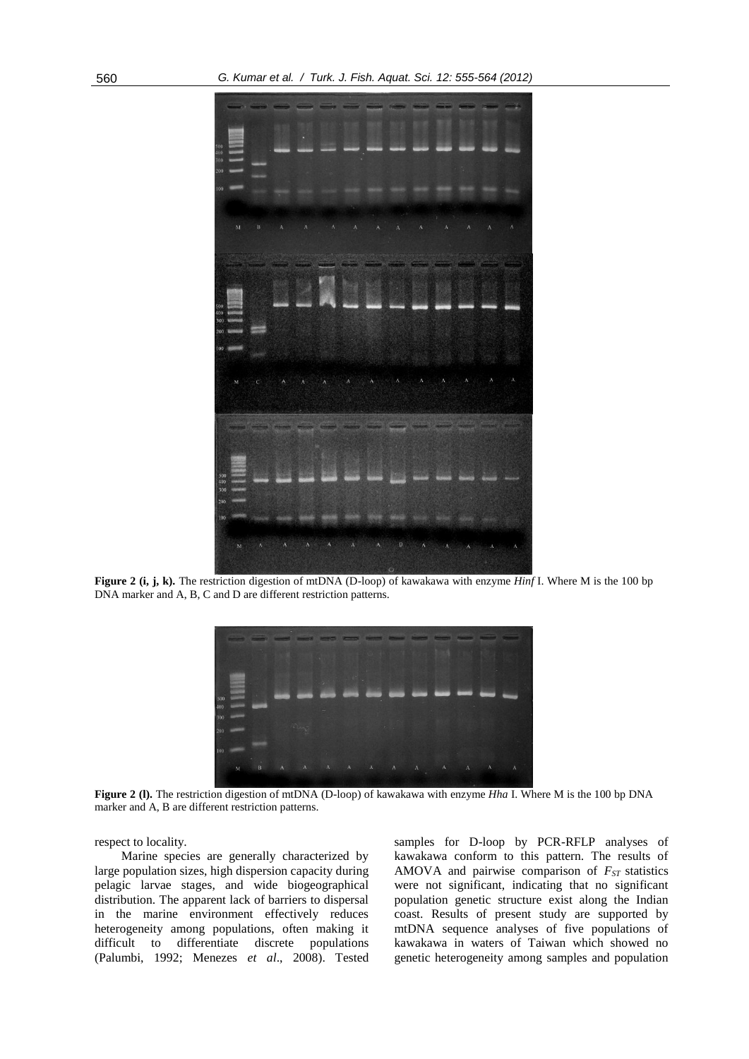

**Figure 2 (i, j, k).** The restriction digestion of mtDNA (D-loop) of kawakawa with enzyme *Hinf* I. Where M is the 100 bp DNA marker and A, B, C and D are different restriction patterns.



**Figure 2 (l).** The restriction digestion of mtDNA (D-loop) of kawakawa with enzyme *Hha* I. Where M is the 100 bp DNA marker and A, B are different restriction patterns.

respect to locality.

Marine species are generally characterized by large population sizes, high dispersion capacity during pelagic larvae stages, and wide biogeographical distribution. The apparent lack of barriers to dispersal in the marine environment effectively reduces heterogeneity among populations, often making it difficult to differentiate discrete populations (Palumbi, 1992; Menezes *et al*., 2008). Tested samples for D-loop by PCR-RFLP analyses of kawakawa conform to this pattern. The results of AMOVA and pairwise comparison of  $F_{ST}$  statistics were not significant, indicating that no significant population genetic structure exist along the Indian coast. Results of present study are supported by mtDNA sequence analyses of five populations of kawakawa in waters of Taiwan which showed no genetic heterogeneity among samples and population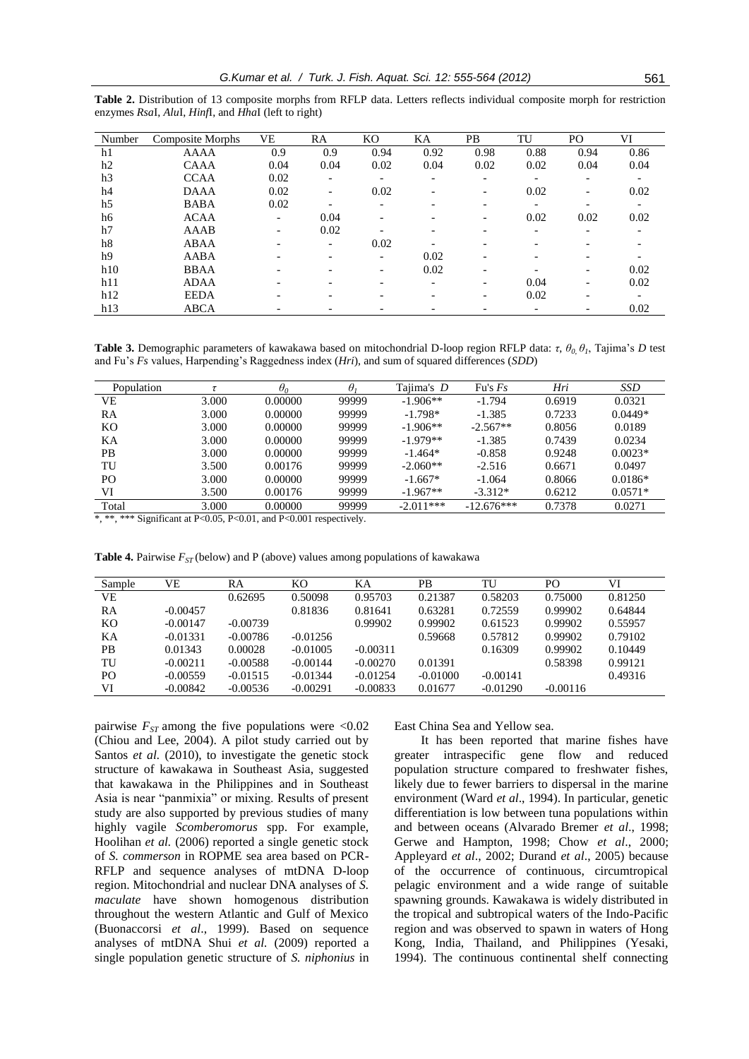| Number         | Composite Morphs | VE   | RA                       | KО                       | KА                       | PB                       | TU                       | PO.  | VI   |
|----------------|------------------|------|--------------------------|--------------------------|--------------------------|--------------------------|--------------------------|------|------|
| h1             | <b>AAAA</b>      | 0.9  | 0.9                      | 0.94                     | 0.92                     | 0.98                     | 0.88                     | 0.94 | 0.86 |
| h2             | <b>CAAA</b>      | 0.04 | 0.04                     | 0.02                     | 0.04                     | 0.02                     | 0.02                     | 0.04 | 0.04 |
| h <sub>3</sub> | <b>CCAA</b>      | 0.02 | $\overline{\phantom{a}}$ | -                        | -                        | $\overline{\phantom{0}}$ |                          | -    |      |
| h <sub>4</sub> | <b>DAAA</b>      | 0.02 |                          | 0.02                     |                          |                          | 0.02                     | -    | 0.02 |
| h <sub>5</sub> | <b>BABA</b>      | 0.02 |                          | $\overline{\phantom{0}}$ |                          |                          |                          | -    |      |
| h6             | <b>ACAA</b>      | Ξ.   | 0.04                     | $\overline{\phantom{0}}$ |                          |                          | 0.02                     | 0.02 | 0.02 |
| h7             | AAAB             |      | 0.02                     |                          |                          |                          | $\overline{\phantom{0}}$ | -    |      |
| h <sup>8</sup> | ABAA             |      | $\overline{\phantom{0}}$ | 0.02                     |                          |                          |                          |      |      |
| h9             | AABA             |      |                          | $\overline{\phantom{0}}$ | 0.02                     |                          |                          |      |      |
| h10            | <b>BBAA</b>      |      |                          | $\overline{\phantom{0}}$ | 0.02                     |                          |                          | -    | 0.02 |
| h11            | <b>ADAA</b>      |      |                          | $\overline{\phantom{0}}$ | $\overline{\phantom{0}}$ |                          | 0.04                     | -    | 0.02 |
| h12            | <b>EEDA</b>      |      |                          | $\overline{\phantom{0}}$ |                          |                          | 0.02                     | ۰    |      |
| h13            | <b>ABCA</b>      |      |                          |                          |                          |                          |                          | -    | 0.02 |
|                |                  |      |                          |                          |                          |                          |                          |      |      |

**Table 2.** Distribution of 13 composite morphs from RFLP data. Letters reflects individual composite morph for restriction enzymes *Rsa*I, *Alu*I, *Hinf*I, and *Hha*I (left to right)

**Table 3.** Demographic parameters of kawakawa based on mitochondrial D-loop region RFLP data: *τ*, *θ0, θ<sup>1</sup>* , Tajima's *D* test and Fu's *Fs* values, Harpending's Raggedness index (*Hri*), and sum of squared differences (*SDD*)

| Population     |       | $\theta_0$ | $\theta$ | Tajima's D  | Fu's $Fs$    | Hri    | <b>SSD</b> |
|----------------|-------|------------|----------|-------------|--------------|--------|------------|
| VE             | 3.000 | 0.00000    | 99999    | $-1.906**$  | $-1.794$     | 0.6919 | 0.0321     |
| RA             | 3.000 | 0.00000    | 99999    | $-1.798*$   | $-1.385$     | 0.7233 | $0.0449*$  |
| KО             | 3.000 | 0.00000    | 99999    | $-1.906**$  | $-2.567**$   | 0.8056 | 0.0189     |
| KА             | 3.000 | 0.00000    | 99999    | $-1.979**$  | $-1.385$     | 0.7439 | 0.0234     |
| PВ             | 3.000 | 0.00000    | 99999    | $-1.464*$   | $-0.858$     | 0.9248 | $0.0023*$  |
| TU             | 3.500 | 0.00176    | 99999    | $-2.060**$  | $-2.516$     | 0.6671 | 0.0497     |
| P <sub>O</sub> | 3.000 | 0.00000    | 99999    | $-1.667*$   | $-1.064$     | 0.8066 | $0.0186*$  |
| VI             | 3.500 | 0.00176    | 99999    | $-1.967**$  | $-3.312*$    | 0.6212 | $0.0571*$  |
| Total          | 3.000 | 0.00000    | 99999    | $-2.011***$ | $-12.676***$ | 0.7378 | 0.0271     |

\*, \*\*, \*\*\* Significant at P<0.05, P<0.01, and P<0.001 respectively.

| Sample         | VЕ         | RA         | KО         | KА         | PВ         | TU         | PO.        | VI      |
|----------------|------------|------------|------------|------------|------------|------------|------------|---------|
| VE             |            | 0.62695    | 0.50098    | 0.95703    | 0.21387    | 0.58203    | 0.75000    | 0.81250 |
| RA             | $-0.00457$ |            | 0.81836    | 0.81641    | 0.63281    | 0.72559    | 0.99902    | 0.64844 |
| KO             | $-0.00147$ | $-0.00739$ |            | 0.99902    | 0.99902    | 0.61523    | 0.99902    | 0.55957 |
| KА             | $-0.01331$ | $-0.00786$ | $-0.01256$ |            | 0.59668    | 0.57812    | 0.99902    | 0.79102 |
| <b>PB</b>      | 0.01343    | 0.00028    | $-0.01005$ | $-0.00311$ |            | 0.16309    | 0.99902    | 0.10449 |
| TU             | $-0.00211$ | $-0.00588$ | $-0.00144$ | $-0.00270$ | 0.01391    |            | 0.58398    | 0.99121 |
| P <sub>O</sub> | $-0.00559$ | $-0.01515$ | $-0.01344$ | $-0.01254$ | $-0.01000$ | $-0.00141$ |            | 0.49316 |
| VI             | $-0.00842$ | $-0.00536$ | $-0.00291$ | $-0.00833$ | 0.01677    | $-0.01290$ | $-0.00116$ |         |
|                |            |            |            |            |            |            |            |         |

**Table 4.** Pairwise  $F_{ST}$  (below) and P (above) values among populations of kawakawa

pairwise  $F_{ST}$  among the five populations were  $\langle 0.02 \rangle$ (Chiou and Lee, 2004). A pilot study carried out by Santos *et al.* (2010), to investigate the genetic stock structure of kawakawa in Southeast Asia, suggested that kawakawa in the Philippines and in Southeast Asia is near "panmixia" or mixing. Results of present study are also supported by previous studies of many highly vagile *Scomberomorus* spp. For example, Hoolihan *et al.* (2006) reported a single genetic stock of *S. commerson* in ROPME sea area based on PCR-RFLP and sequence analyses of mtDNA D-loop region. Mitochondrial and nuclear DNA analyses of *S. maculate* have shown homogenous distribution throughout the western Atlantic and Gulf of Mexico (Buonaccorsi *et al*., 1999). Based on sequence analyses of mtDNA Shui *et al.* (2009) reported a single population genetic structure of *S. niphonius* in East China Sea and Yellow sea.

It has been reported that marine fishes have greater intraspecific gene flow and reduced population structure compared to freshwater fishes, likely due to fewer barriers to dispersal in the marine environment (Ward *et al*., 1994). In particular, genetic differentiation is low between tuna populations within and between oceans (Alvarado Bremer *et al*., 1998; Gerwe and Hampton, 1998; Chow *et al*., 2000; Appleyard *et al*., 2002; Durand *et al*., 2005) because of the occurrence of continuous, circumtropical pelagic environment and a wide range of suitable spawning grounds. Kawakawa is widely distributed in the tropical and subtropical waters of the Indo-Pacific region and was observed to spawn in waters of Hong Kong, India, Thailand, and Philippines (Yesaki, 1994). The continuous continental shelf connecting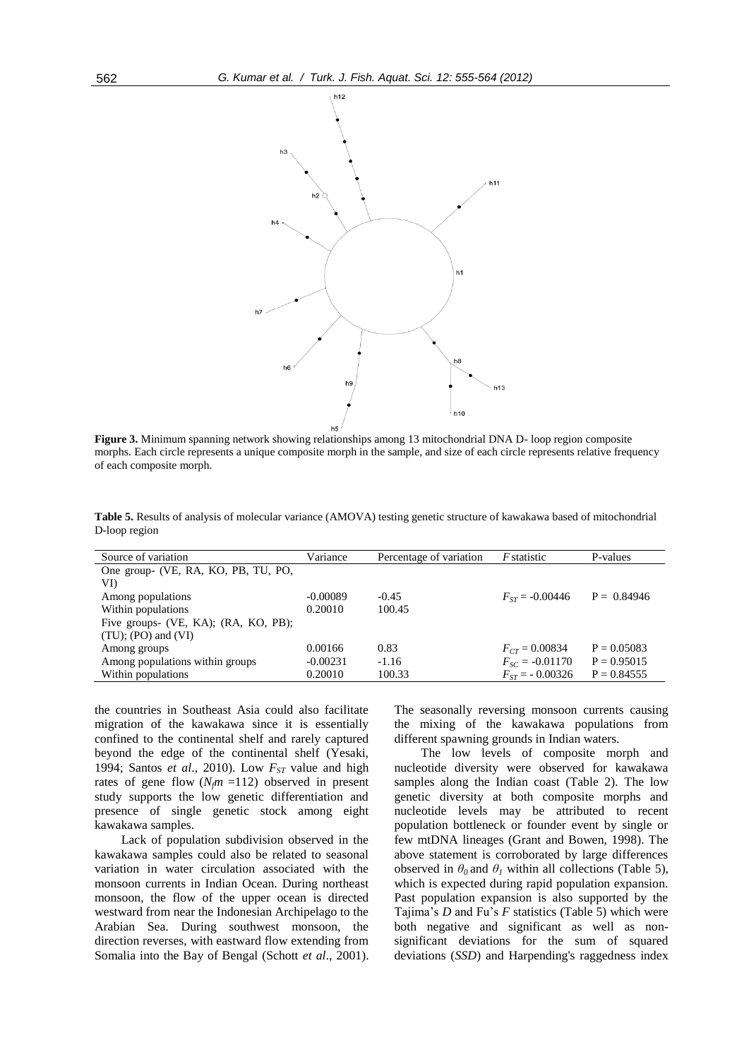

**Figure 3.** Minimum spanning network showing relationships among 13 mitochondrial DNA D- loop region composite morphs. Each circle represents a unique composite morph in the sample, and size of each circle represents relative frequency of each composite morph.

**Table 5.** Results of analysis of molecular variance (AMOVA) testing genetic structure of kawakawa based of mitochondrial D-loop region

| Source of variation                  | Variance   | Percentage of variation | <i>F</i> statistic  | P-values      |
|--------------------------------------|------------|-------------------------|---------------------|---------------|
| One group- (VE, RA, KO, PB, TU, PO,  |            |                         |                     |               |
| VI)                                  |            |                         |                     |               |
| Among populations                    | $-0.00089$ | $-0.45$                 | $F_{ST} = -0.00446$ | $P = 0.84946$ |
| Within populations                   | 0.20010    | 100.45                  |                     |               |
| Five groups- (VE, KA); (RA, KO, PB); |            |                         |                     |               |
| $(TU)$ ; (PO) and (VI)               |            |                         |                     |               |
| Among groups                         | 0.00166    | 0.83                    | $F_{CT} = 0.00834$  | $P = 0.05083$ |
| Among populations within groups      | $-0.00231$ | $-1.16$                 | $F_{SC} = -0.01170$ | $P = 0.95015$ |
| Within populations                   | 0.20010    | 100.33                  | $F_{ST}$ = -0.00326 | $P = 0.84555$ |
|                                      |            |                         |                     |               |

the countries in Southeast Asia could also facilitate migration of the kawakawa since it is essentially confined to the continental shelf and rarely captured beyond the edge of the continental shelf (Yesaki, 1994; Santos *et al*., 2010). Low *FST* value and high rates of gene flow  $(N<sub>f</sub>m = 112)$  observed in present study supports the low genetic differentiation and presence of single genetic stock among eight kawakawa samples.

Lack of population subdivision observed in the kawakawa samples could also be related to seasonal variation in water circulation associated with the monsoon currents in Indian Ocean. During northeast monsoon, the flow of the upper ocean is directed westward from near the Indonesian Archipelago to the Arabian Sea. During southwest monsoon, the direction reverses, with eastward flow extending from Somalia into the Bay of Bengal (Schott *et al*., 2001). The seasonally reversing monsoon currents causing the mixing of the kawakawa populations from different spawning grounds in Indian waters.

The low levels of composite morph and nucleotide diversity were observed for kawakawa samples along the Indian coast (Table 2). The low genetic diversity at both composite morphs and nucleotide levels may be attributed to recent population bottleneck or founder event by single or few mtDNA lineages (Grant and Bowen, 1998). The above statement is corroborated by large differences observed in  $\theta_0$  and  $\theta_1$  within all collections (Table 5), which is expected during rapid population expansion. Past population expansion is also supported by the Tajima's *D* and Fu's *F* statistics (Table 5) which were both negative and significant as well as nonsignificant deviations for the sum of squared deviations (*SSD*) and Harpending's raggedness index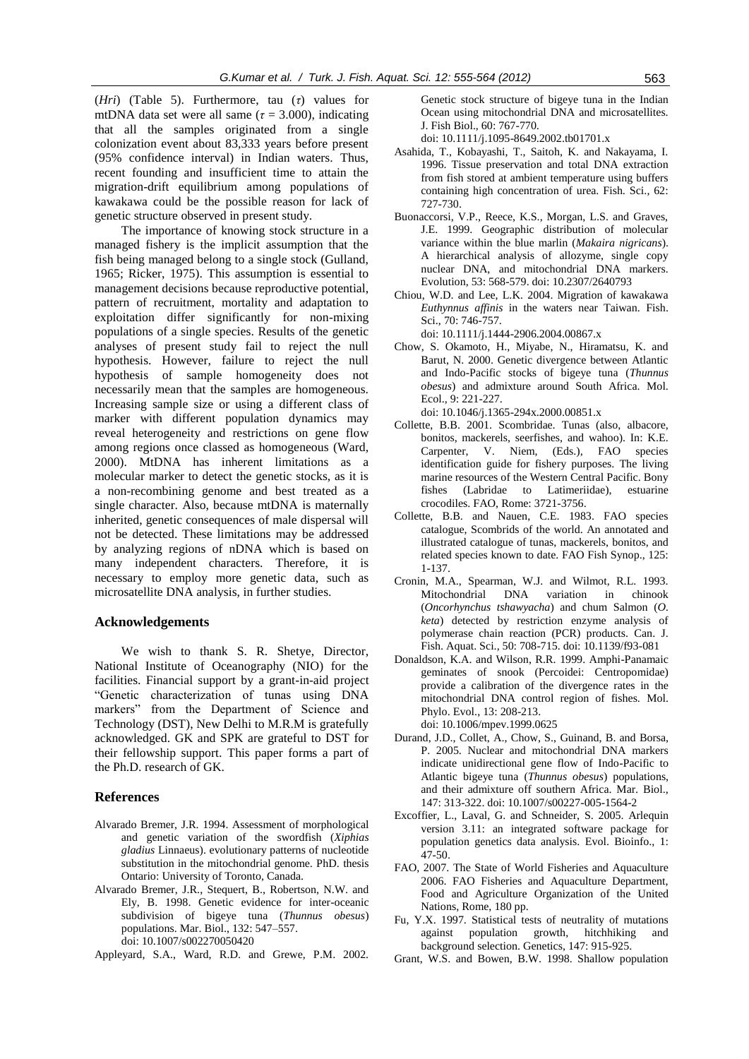(*Hri*) (Table 5). Furthermore, tau (*τ*) values for mtDNA data set were all same ( $\tau$  = 3.000), indicating that all the samples originated from a single colonization event about 83,333 years before present (95% confidence interval) in Indian waters. Thus, recent founding and insufficient time to attain the migration-drift equilibrium among populations of kawakawa could be the possible reason for lack of genetic structure observed in present study.

The importance of knowing stock structure in a managed fishery is the implicit assumption that the fish being managed belong to a single stock (Gulland, 1965; Ricker, 1975). This assumption is essential to management decisions because reproductive potential, pattern of recruitment, mortality and adaptation to exploitation differ significantly for non-mixing populations of a single species. Results of the genetic analyses of present study fail to reject the null hypothesis. However, failure to reject the null hypothesis of sample homogeneity does not necessarily mean that the samples are homogeneous. Increasing sample size or using a different class of marker with different population dynamics may reveal heterogeneity and restrictions on gene flow among regions once classed as homogeneous (Ward, 2000). MtDNA has inherent limitations as a molecular marker to detect the genetic stocks, as it is a non-recombining genome and best treated as a single character. Also, because mtDNA is maternally inherited, genetic consequences of male dispersal will not be detected. These limitations may be addressed by analyzing regions of nDNA which is based on many independent characters. Therefore, it is necessary to employ more genetic data, such as microsatellite DNA analysis, in further studies.

#### **Acknowledgements**

We wish to thank S. R. Shetye, Director, National Institute of Oceanography (NIO) for the facilities. Financial support by a grant-in-aid project "Genetic characterization of tunas using DNA markers" from the Department of Science and Technology (DST), New Delhi to M.R.M is gratefully acknowledged. GK and SPK are grateful to DST for their fellowship support. This paper forms a part of the Ph.D. research of GK.

#### **References**

- Alvarado Bremer, J.R. 1994. Assessment of morphological and genetic variation of the swordfish (*Xiphias gladius* Linnaeus). evolutionary patterns of nucleotide substitution in the mitochondrial genome. PhD. thesis Ontario: University of Toronto, Canada.
- Alvarado Bremer, J.R., Stequert, B., Robertson, N.W. and Ely, B. 1998. Genetic evidence for inter-oceanic subdivision of bigeye tuna (*Thunnus obesus*) populations. Mar. Biol., 132: 547–557. doi: 10.1007/s002270050420
- Appleyard, S.A., Ward, R.D. and Grewe, P.M. 2002.

Genetic stock structure of bigeye tuna in the Indian Ocean using mitochondrial DNA and microsatellites. J. Fish Biol., 60: 767-770.

doi: 10.1111/j.1095-8649.2002.tb01701.x

- Asahida, T., Kobayashi, T., Saitoh, K. and Nakayama, I. 1996. Tissue preservation and total DNA extraction from fish stored at ambient temperature using buffers containing high concentration of urea. Fish. Sci., 62: 727-730.
- Buonaccorsi, V.P., Reece, K.S., Morgan, L.S. and Graves, J.E. 1999. Geographic distribution of molecular variance within the blue marlin (*Makaira nigricans*). A hierarchical analysis of allozyme, single copy nuclear DNA, and mitochondrial DNA markers. Evolution, 53: 568-579. doi: 10.2307/2640793
- Chiou, W.D. and Lee, L.K. 2004. Migration of kawakawa *Euthynnus affinis* in the waters near Taiwan. Fish. Sci., 70: 746-757.

doi: 10.1111/j.1444-2906.2004.00867.x

Chow, S. Okamoto, H., Miyabe, N., Hiramatsu, K. and Barut, N. 2000. Genetic divergence between Atlantic and Indo-Pacific stocks of bigeye tuna (*Thunnus obesus*) and admixture around South Africa. Mol. Ecol., 9: 221-227.

doi: 10.1046/j.1365-294x.2000.00851.x

- Collette, B.B. 2001. Scombridae. Tunas (also, albacore, bonitos, mackerels, seerfishes, and wahoo). In: K.E. Carpenter, V. Niem, (Eds.), FAO species identification guide for fishery purposes. The living marine resources of the Western Central Pacific. Bony fishes (Labridae to Latimeriidae), estuarine crocodiles. FAO, Rome: 3721-3756.
- Collette, B.B. and Nauen, C.E. 1983. FAO species catalogue, Scombrids of the world. An annotated and illustrated catalogue of tunas, mackerels, bonitos, and related species known to date. FAO Fish Synop., 125: 1-137.
- Cronin, M.A., Spearman, W.J. and Wilmot, R.L. 1993. Mitochondrial DNA variation in chinook (*Oncorhynchus tshawyacha*) and chum Salmon (*O. keta*) detected by restriction enzyme analysis of polymerase chain reaction (PCR) products. Can. J. Fish. Aquat. Sci., 50: 708-715. doi: 10.1139/f93-081
- Donaldson, K.A. and Wilson, R.R. 1999. Amphi-Panamaic geminates of snook (Percoidei: Centropomidae) provide a calibration of the divergence rates in the mitochondrial DNA control region of fishes. Mol. Phylo. Evol., 13: 208-213. doi: 10.1006/mpev.1999.0625
- Durand, J.D., Collet, A., Chow, S., Guinand, B. and Borsa, P. 2005. Nuclear and mitochondrial DNA markers indicate unidirectional gene flow of Indo-Pacific to Atlantic bigeye tuna (*Thunnus obesus*) populations, and their admixture off southern Africa. Mar. Biol., 147: 313-322. doi: 10.1007/s00227-005-1564-2
- Excoffier, L., Laval, G. and Schneider, S. 2005. Arlequin version 3.11: an integrated software package for population genetics data analysis. Evol. Bioinfo., 1: 47-50.
- FAO, 2007. The State of World Fisheries and Aquaculture 2006. FAO Fisheries and Aquaculture Department, Food and Agriculture Organization of the United Nations, Rome, 180 pp.
- Fu, Y.X. 1997. Statistical tests of neutrality of mutations against population growth, hitchhiking and background selection. Genetics, 147: 915-925.
- Grant, W.S. and Bowen, B.W. 1998. Shallow population